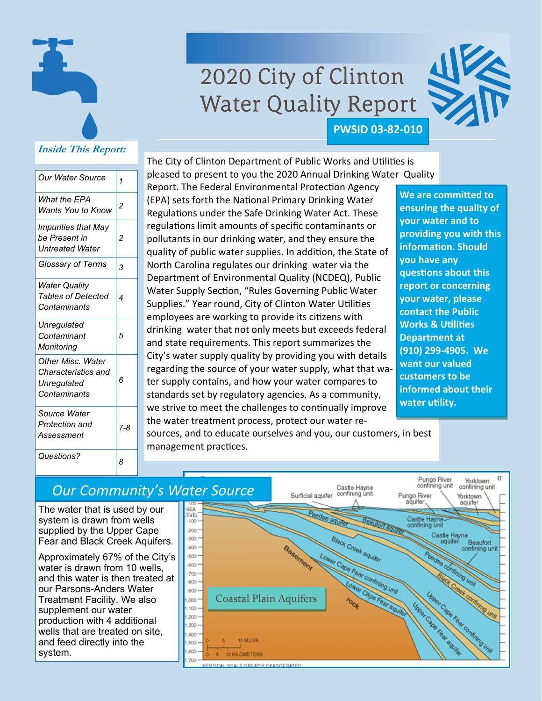

# 2020 City of Clinton Water Quality Report



#### **Inside This Report:**

| Our Water Source                                                               | 1              |
|--------------------------------------------------------------------------------|----------------|
| What the EPA<br>Wants You to Know                                              | $\overline{c}$ |
| <b>Impurities that May</b><br>be Present in<br>Untreated Water                 | 2              |
| Glossary of Terms                                                              | 3              |
| Water Quality<br><b>Tables of Detected</b><br>Contaminants                     | 4              |
| Unregulated<br>Contaminant<br>Monitoring                                       | 5              |
| <b>Other Misc. Water</b><br>Characteristics and<br>Unregulated<br>Contaminants | 6              |
| Source Water<br>Protection and<br>Assessment                                   | 7-8            |
| Questions?                                                                     | 8              |

#### The City of Clinton Department of Public Works and Utilities is pleased to present to you the 2020 Annual Drinking Water Quality

Report. The Federal Environmental Protection Agency (EPA) sets forth the National Primary Drinking Water Regulations under the Safe Drinking Water Act. These regulations limit amounts of specific contaminants or pollutants in our drinking water, and they ensure the quality of public water supplies. In addition, the State of North Carolina regulates our drinking water via the Department of Environmental Quality (NCDEQ), Public Water Supply Section, "Rules Governing Public Water Supplies." Year round, City of Clinton Water Utilities employees are working to provide its citizens with drinking water that not only meets but exceeds federal and state requirements. This report summarizes the City's water supply quality by providing you with details regarding the source of your water supply, what that water supply contains, and how your water compares to standards set by regulatory agencies. As a community, we strive to meet the challenges to continually improve the water treatment process, protect our water re-

**We are committed to ensuring the quality of your water and to providing you with this informaƟon. Should you have any quesƟons about this report or concerning your water, please contact the Public Works & UƟliƟes Department at (910) 299‐4905. We want our valued customers to be informed about their water utility.** 

Pungo River

Yorktown

sources, and to educate ourselves and you, our customers, in best management practices.

### *Our Community's Water Source*

The water that is used by our system is drawn from wells supplied by the Upper Cape Fear and Black Creek Aquifers.

Approximately 67% of the City's water is drawn from 10 wells, and this water is then treated at our Parsons-Anders Water Treatment Facility. We also supplement our water production with 4 additional wells that are treated on site, and feed directly into the system.

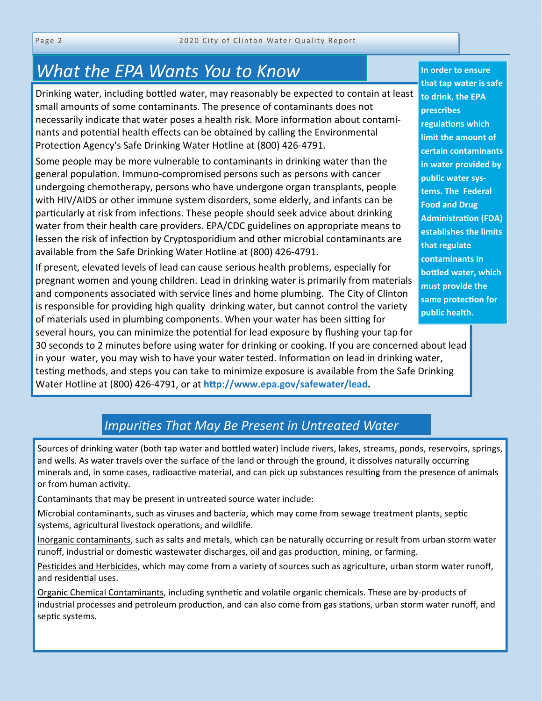## *What the EPA Wants You to Know*

Drinking water, including bottled water, may reasonably be expected to contain at least small amounts of some contaminants. The presence of contaminants does not necessarily indicate that water poses a health risk. More information about contaminants and potential health effects can be obtained by calling the Environmental Protection Agency's Safe Drinking Water Hotline at (800) 426-4791.

Some people may be more vulnerable to contaminants in drinking water than the general population. Immuno-compromised persons such as persons with cancer undergoing chemotherapy, persons who have undergone organ transplants, people with HIV/AIDS or other immune system disorders, some elderly, and infants can be particularly at risk from infections. These people should seek advice about drinking water from their health care providers. EPA/CDC guidelines on appropriate means to lessen the risk of infection by Cryptosporidium and other microbial contaminants are available from the Safe Drinking Water Hotline at (800) 426-4791.

If present, elevated levels of lead can cause serious health problems, especially for pregnant women and young children. Lead in drinking water is primarily from materials and components associated with service lines and home plumbing. The City of Clinton is responsible for providing high quality drinking water, but cannot control the variety of materials used in plumbing components. When your water has been sitting for several hours, you can minimize the potential for lead exposure by flushing your tap for

30 seconds to 2 minutes before using water for drinking or cooking. If you are concerned about lead in your water, you may wish to have your water tested. Information on lead in drinking water, testing methods, and steps you can take to minimize exposure is available from the Safe Drinking Water Hotline at (800) 426-4791, or at **hƩp://www.epa.gov/safewater/lead.**

#### **In order to ensure that tap water is safe to drink, the EPA prescribes regulaƟons which limit the amount of certain contaminants in water provided by public water sys‐ tems. The Federal Food and Drug AdministraƟon (FDA) establishes the limits that regulate contaminants in boƩled water, which must provide the same protecƟon for public health.**

### *ImpuriƟes That May Be Present in Untreated Water*

Sources of drinking water (both tap water and bottled water) include rivers, lakes, streams, ponds, reservoirs, springs, and wells. As water travels over the surface of the land or through the ground, it dissolves naturally occurring minerals and, in some cases, radioactive material, and can pick up substances resulting from the presence of animals or from human activity.

Contaminants that may be present in untreated source water include:

Microbial contaminants, such as viruses and bacteria, which may come from sewage treatment plants, septic systems, agricultural livestock operations, and wildlife.

Inorganic contaminants, such as salts and metals, which can be naturally occurring or result from urban storm water runoff, industrial or domestic wastewater discharges, oil and gas production, mining, or farming.

Pesticides and Herbicides, which may come from a variety of sources such as agriculture, urban storm water runoff, and residential uses.

Organic Chemical Contaminants, including synthetic and volatile organic chemicals. These are by-products of industrial processes and petroleum production, and can also come from gas stations, urban storm water runoff, and septic systems.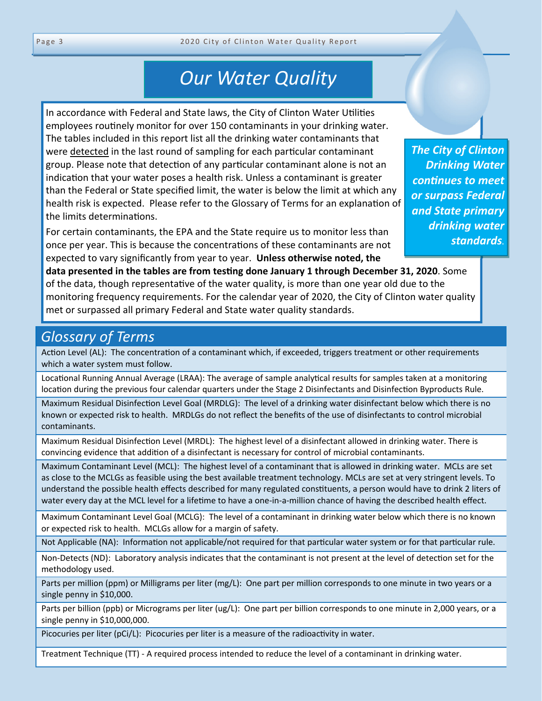## *Our Water Quality*

In accordance with Federal and State laws, the City of Clinton Water Utilities employees routinely monitor for over 150 contaminants in your drinking water. The tables included in this report list all the drinking water contaminants that were detected in the last round of sampling for each particular contaminant group. Please note that detection of any particular contaminant alone is not an indication that your water poses a health risk. Unless a contaminant is greater than the Federal or State specified limit, the water is below the limit at which any health risk is expected. Please refer to the Glossary of Terms for an explanation of the limits determinations.

For certain contaminants, the EPA and the State require us to monitor less than once per year. This is because the concentrations of these contaminants are not expected to vary significantly from year to year. **Unless otherwise noted, the** 

*The City of Clinton Drinking Water conƟnues to meet or surpass Federal and State primary drinking water standards.*

**data presented in the tables are from testing done January 1 through December 31, 2020**. Some of the data, though representative of the water quality, is more than one year old due to the monitoring frequency requirements. For the calendar year of 2020, the City of Clinton water quality met or surpassed all primary Federal and State water quality standards.

## *Glossary of Terms*

Action Level (AL): The concentration of a contaminant which, if exceeded, triggers treatment or other requirements which a water system must follow.

Locational Running Annual Average (LRAA): The average of sample analytical results for samples taken at a monitoring location during the previous four calendar quarters under the Stage 2 Disinfectants and Disinfection Byproducts Rule.

Maximum Residual Disinfection Level Goal (MRDLG): The level of a drinking water disinfectant below which there is no known or expected risk to health. MRDLGs do not reflect the benefits of the use of disinfectants to control microbial contaminants.

Maximum Residual Disinfection Level (MRDL): The highest level of a disinfectant allowed in drinking water. There is convincing evidence that addition of a disinfectant is necessary for control of microbial contaminants.

Maximum Contaminant Level (MCL): The highest level of a contaminant that is allowed in drinking water. MCLs are set as close to the MCLGs as feasible using the best available treatment technology. MCLs are set at very stringent levels. To understand the possible health effects described for many regulated constituents, a person would have to drink 2 liters of water every day at the MCL level for a lifetime to have a one-in-a-million chance of having the described health effect.

Maximum Contaminant Level Goal (MCLG): The level of a contaminant in drinking water below which there is no known or expected risk to health. MCLGs allow for a margin of safety.

Not Applicable (NA): Information not applicable/not required for that particular water system or for that particular rule.

Non-Detects (ND): Laboratory analysis indicates that the contaminant is not present at the level of detection set for the methodology used.

Parts per million (ppm) or Milligrams per liter (mg/L): One part per million corresponds to one minute in two years or a single penny in \$10,000.

Parts per billion (ppb) or Micrograms per liter (ug/L): One part per billion corresponds to one minute in 2,000 years, or a single penny in \$10,000,000.

Picocuries per liter (pCi/L): Picocuries per liter is a measure of the radioactivity in water.

Treatment Technique (TT) - A required process intended to reduce the level of a contaminant in drinking water.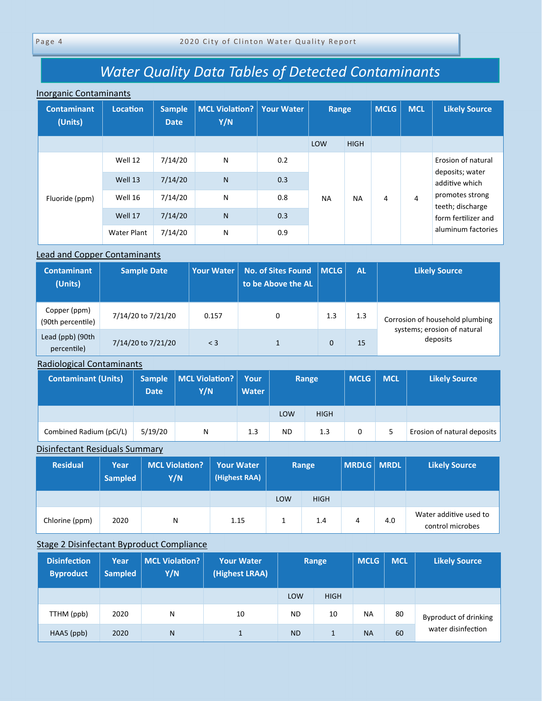## *Water Quality Data Tables of Detected Contaminants*

#### Inorganic Contaminants

| <b>Contaminant</b><br>(Units) | <b>Location</b>    | <b>Sample</b><br><b>Date</b> | <b>MCL Violation?</b><br>Y/N | <b>Your Water</b> | Range     |             | <b>MCLG</b> | <b>MCL</b>     | <b>Likely Source</b>                  |
|-------------------------------|--------------------|------------------------------|------------------------------|-------------------|-----------|-------------|-------------|----------------|---------------------------------------|
|                               |                    |                              |                              |                   | LOW       | <b>HIGH</b> |             |                |                                       |
|                               | Well 12            | 7/14/20                      | N                            | 0.2               |           |             |             |                | Erosion of natural<br>deposits; water |
| Fluoride (ppm)                | Well 13            | 7/14/20                      | $\mathsf{N}$                 | 0.3               | <b>NA</b> | <b>NA</b>   |             | $\overline{4}$ | additive which                        |
|                               | Well 16            | 7/14/20                      | N                            | 0.8               |           |             | 4           |                | promotes strong<br>teeth; discharge   |
|                               | Well 17            | 7/14/20                      | $\mathsf{N}$                 | 0.3               |           |             |             |                | form fertilizer and                   |
|                               | <b>Water Plant</b> | 7/14/20                      | N                            | 0.9               |           |             |             |                | aluminum factories                    |

#### Lead and Copper Contaminants

| <b>Contaminant</b><br>(Units)     | <b>Sample Date</b> | <b>Your Water</b> | No. of Sites Found   MCLG  <br>to be Above the AL |          | <b>AL</b> | <b>Likely Source</b>                    |
|-----------------------------------|--------------------|-------------------|---------------------------------------------------|----------|-----------|-----------------------------------------|
| Copper (ppm)<br>(90th percentile) | 7/14/20 to 7/21/20 | 0.157             | 0                                                 | 1.3      | 1.3       | Corrosion of household plumbing         |
| Lead (ppb) (90th<br>percentile)   | 7/14/20 to 7/21/20 | $<$ 3             |                                                   | $\Omega$ | 15        | systems; erosion of natural<br>deposits |

Radiological Contaminants

| <b>Contaminant (Units)</b> | <b>Sample</b><br><b>Date</b> | MCL Violation?  <br>Y/N | Your<br><b>Water</b> | Range     |             | <b>MCLG</b> | <b>MCL</b> | <b>Likely Source</b>        |
|----------------------------|------------------------------|-------------------------|----------------------|-----------|-------------|-------------|------------|-----------------------------|
|                            |                              |                         |                      | LOW       | <b>HIGH</b> |             |            |                             |
| Combined Radium (pCi/L)    | 5/19/20                      | N                       | 1.3                  | <b>ND</b> | 1.3         | 0           |            | Erosion of natural deposits |

#### Disinfectant Residuals Summary

| <b>Residual</b> | Year<br><b>Sampled</b> | <b>MCL Violation?</b><br>Y/N | <b>Your Water</b><br>(Highest RAA) | Range      |             | $\mid$ MRDLG $\mid$ MRDL |     | <b>Likely Source</b>                       |
|-----------------|------------------------|------------------------------|------------------------------------|------------|-------------|--------------------------|-----|--------------------------------------------|
|                 |                        |                              |                                    | <b>LOW</b> | <b>HIGH</b> |                          |     |                                            |
| Chlorine (ppm)  | 2020                   | N                            | 1.15                               |            | 1.4         | 4                        | 4.0 | Water additive used to<br>control microbes |

#### Stage 2 Disinfectant Byproduct Compliance

| <b>Disinfection</b><br><b>Byproduct</b> | Year<br><b>Sampled</b> | <b>MCL Violation?</b><br>Y/N | <b>Your Water</b><br>(Highest LRAA) | Range      |             | <b>MCLG</b> | <b>MCL</b> | <b>Likely Source</b>         |
|-----------------------------------------|------------------------|------------------------------|-------------------------------------|------------|-------------|-------------|------------|------------------------------|
|                                         |                        |                              |                                     | <b>LOW</b> | <b>HIGH</b> |             |            |                              |
| TTHM (ppb)                              | 2020                   | N                            | 10                                  | ND.        | 10          | <b>NA</b>   | 80         | <b>Byproduct of drinking</b> |
| HAA5 (ppb)                              | 2020                   | N                            |                                     | <b>ND</b>  |             | <b>NA</b>   | 60         | water disinfection           |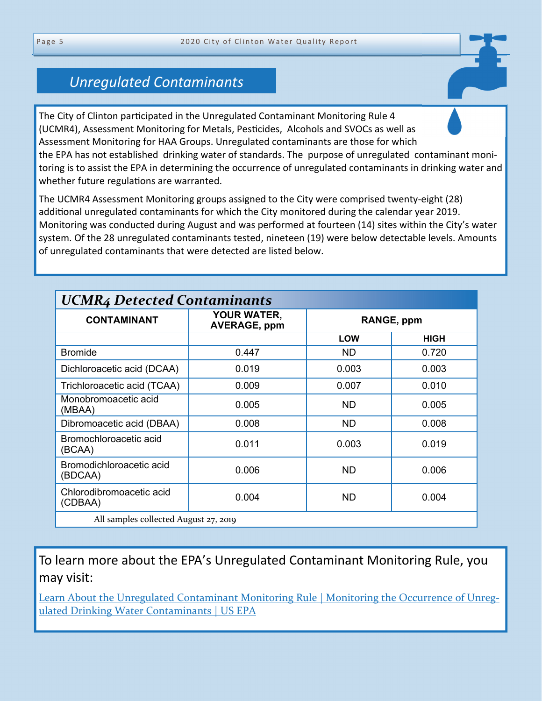## *Unregulated Contaminants*

The City of Clinton participated in the Unregulated Contaminant Monitoring Rule 4 (UCMR4), Assessment Monitoring for Metals, Pesticides, Alcohols and SVOCs as well as Assessment Monitoring for HAA Groups. Unregulated contaminants are those for which the EPA has not established drinking water of standards. The purpose of unregulated contaminant monitoring is to assist the EPA in determining the occurrence of unregulated contaminants in drinking water and whether future regulations are warranted.

The UCMR4 Assessment Monitoring groups assigned to the City were comprised twenty-eight (28) additional unregulated contaminants for which the City monitored during the calendar year 2019. Monitoring was conducted during August and was performed at fourteen (14) sites within the City's water system. Of the 28 unregulated contaminants tested, nineteen (19) were below detectable levels. Amounts of unregulated contaminants that were detected are listed below.

| <b>UCMR4 Detected Contaminants</b>    |                                    |            |             |  |  |  |
|---------------------------------------|------------------------------------|------------|-------------|--|--|--|
| <b>CONTAMINANT</b>                    | YOUR WATER,<br><b>AVERAGE, ppm</b> | RANGE, ppm |             |  |  |  |
|                                       |                                    | <b>LOW</b> | <b>HIGH</b> |  |  |  |
| <b>Bromide</b>                        | 0.447                              | ND.        | 0.720       |  |  |  |
| Dichloroacetic acid (DCAA)            | 0.019                              | 0.003      | 0.003       |  |  |  |
| Trichloroacetic acid (TCAA)           | 0.009                              | 0.007      | 0.010       |  |  |  |
| Monobromoacetic acid<br>(MBAA)        | 0.005                              | <b>ND</b>  | 0.005       |  |  |  |
| Dibromoacetic acid (DBAA)             | 0.008                              | ND         | 0.008       |  |  |  |
| Bromochloroacetic acid<br>(BCAA)      | 0.011                              | 0.003      | 0.019       |  |  |  |
| Bromodichloroacetic acid<br>(BDCAA)   | 0.006                              | <b>ND</b>  | 0.006       |  |  |  |
| Chlorodibromoacetic acid<br>(CDBAA)   | 0.004                              | ND         | 0.004       |  |  |  |
| All samples collected August 27, 2019 |                                    |            |             |  |  |  |

To learn more about the EPA's Unregulated Contaminant Monitoring Rule, you may visit:

[Learn About the Unregulated Contaminant Monitoring Rule | Monitoring the Occurrence of Unreg](https://www.epa.gov/dwucmr/learn-about-unregulated-contaminant-monitoring-rule)ulated Drinking Water Contaminants | US EPA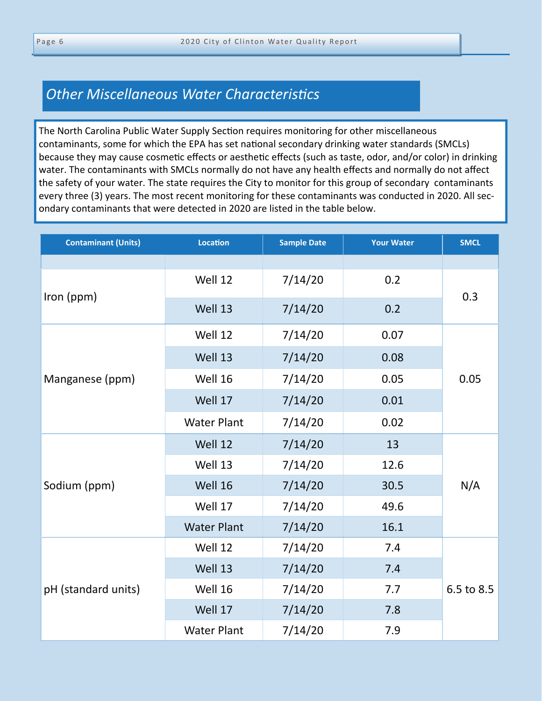## **Other Miscellaneous Water Characteristics**

The North Carolina Public Water Supply Section requires monitoring for other miscellaneous contaminants, some for which the EPA has set national secondary drinking water standards (SMCLs) because they may cause cosmetic effects or aesthetic effects (such as taste, odor, and/or color) in drinking water. The contaminants with SMCLs normally do not have any health effects and normally do not affect the safety of your water. The state requires the City to monitor for this group of secondary contaminants every three (3) years. The most recent monitoring for these contaminants was conducted in 2020. All secondary contaminants that were detected in 2020 are listed in the table below.

| <b>Contaminant (Units)</b> | <b>Location</b>    | <b>Sample Date</b> | <b>Your Water</b> | <b>SMCL</b> |  |
|----------------------------|--------------------|--------------------|-------------------|-------------|--|
|                            |                    |                    |                   |             |  |
| Iron (ppm)                 | Well 12            | 7/14/20            | 0.2               |             |  |
|                            | Well 13            | 7/14/20            | 0.2               | 0.3         |  |
|                            | Well 12            | 7/14/20            | 0.07              |             |  |
|                            | Well 13            | 7/14/20            | 0.08              |             |  |
| Manganese (ppm)            | Well 16            | 7/14/20            | 0.05              | 0.05        |  |
|                            | Well 17            | 7/14/20            | 0.01              |             |  |
|                            | <b>Water Plant</b> | 7/14/20            | 0.02              |             |  |
|                            | Well 12            | 7/14/20            | 13                |             |  |
|                            | Well 13            | 7/14/20            | 12.6              |             |  |
| Sodium (ppm)               | Well 16            | 7/14/20            | 30.5              | N/A         |  |
|                            | Well 17            | 7/14/20            | 49.6              |             |  |
|                            | <b>Water Plant</b> | 7/14/20            | 16.1              |             |  |
|                            | Well 12            | 7/14/20            | 7.4               |             |  |
| pH (standard units)        | Well 13            | 7/14/20            | 7.4               |             |  |
|                            | 7/14/20<br>Well 16 |                    | 7.7               | 6.5 to 8.5  |  |
|                            | Well 17            | 7/14/20            | 7.8               |             |  |
|                            | <b>Water Plant</b> | 7/14/20            | 7.9               |             |  |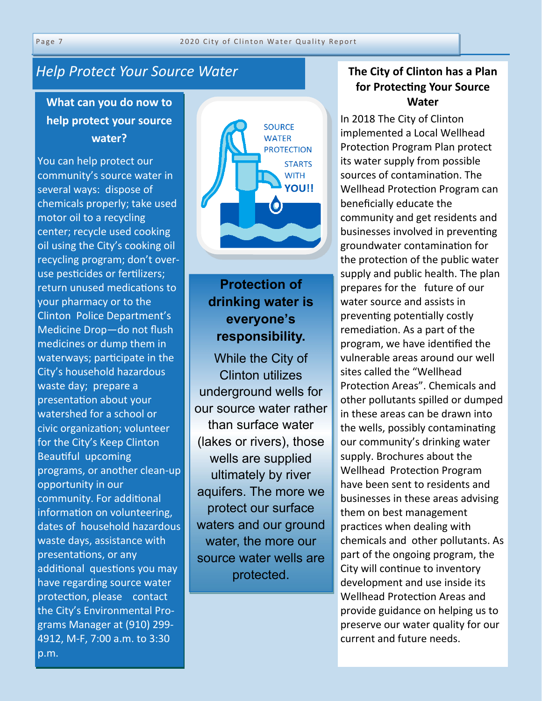## *Help Protect Your Source Water*

## **What can you do now to help protect your source water?**

You can help protect our community's source water in several ways: dispose of chemicals properly; take used motor oil to a recycling center; recycle used cooking oil using the City's cooking oil recycling program; don't overuse pesticides or fertilizers; return unused medications to your pharmacy or to the Clinton Police Department's Medicine Drop—do not flush medicines or dump them in waterways; participate in the City's household hazardous waste day; prepare a presentation about your watershed for a school or civic organization; volunteer for the City's Keep Clinton Beautiful upcoming programs, or another clean-up opportunity in our community. For additional information on volunteering, dates of household hazardous waste days, assistance with presentations, or any additional questions you may have regarding source water protection, please contact the City's Environmental Programs Manager at (910) 299- 4912, M-F, 7:00 a.m. to 3:30 p.m.



## **Protection of drinking water is everyone's responsibility.**

While the City of Clinton utilizes underground wells for our source water rather than surface water (lakes or rivers), those wells are supplied ultimately by river aquifers. The more we protect our surface waters and our ground water, the more our source water wells are protected.

#### **The City of Clinton has a Plan for ProtecƟng Your Source Water**

In 2018 The City of Clinton implemented a Local Wellhead Protection Program Plan protect its water supply from possible sources of contamination. The Wellhead Protection Program can beneficially educate the community and get residents and businesses involved in preventing groundwater contaminaƟon for the protection of the public water supply and public health. The plan prepares for the future of our water source and assists in preventing potentially costly remediation. As a part of the program, we have identified the vulnerable areas around our well sites called the "Wellhead Protection Areas". Chemicals and other pollutants spilled or dumped in these areas can be drawn into the wells, possibly contaminating our community's drinking water supply. Brochures about the Wellhead Protection Program have been sent to residents and businesses in these areas advising them on best management practices when dealing with chemicals and other pollutants. As part of the ongoing program, the City will continue to inventory development and use inside its Wellhead Protection Areas and provide guidance on helping us to preserve our water quality for our current and future needs.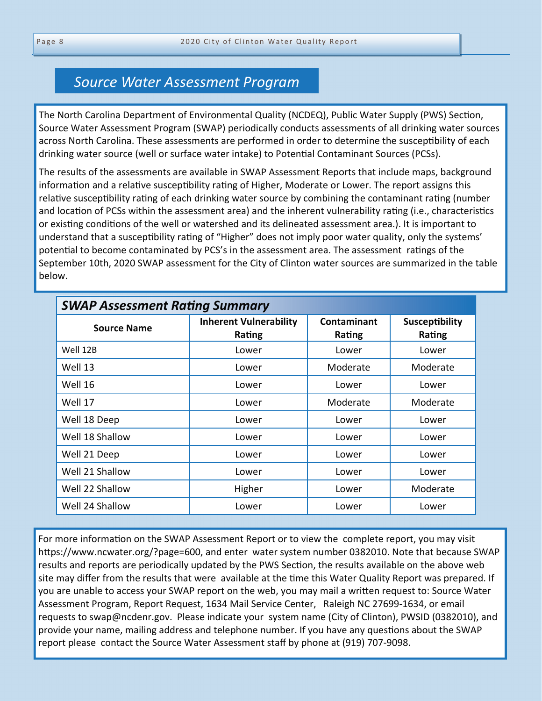### *Source Water Assessment Program*

The North Carolina Department of Environmental Quality (NCDEQ), Public Water Supply (PWS) Section, Source Water Assessment Program (SWAP) periodically conducts assessments of all drinking water sources across North Carolina. These assessments are performed in order to determine the susceptibility of each drinking water source (well or surface water intake) to Potential Contaminant Sources (PCSs).

The results of the assessments are available in SWAP Assessment Reports that include maps, background information and a relative susceptibility rating of Higher, Moderate or Lower. The report assigns this relative susceptibility rating of each drinking water source by combining the contaminant rating (number and location of PCSs within the assessment area) and the inherent vulnerability rating (i.e., characteristics or existing conditions of the well or watershed and its delineated assessment area.). It is important to understand that a susceptibility rating of "Higher" does not imply poor water quality, only the systems' potential to become contaminated by PCS's in the assessment area. The assessment ratings of the September 10th, 2020 SWAP assessment for the City of Clinton water sources are summarized in the table below.

| <b>SWAP Assessment Rating Summary</b> |                                         |                       |                          |  |  |  |  |
|---------------------------------------|-----------------------------------------|-----------------------|--------------------------|--|--|--|--|
| <b>Source Name</b>                    | <b>Inherent Vulnerability</b><br>Rating | Contaminant<br>Rating | Susceptibility<br>Rating |  |  |  |  |
| Well 12B                              | Lower                                   | Lower                 | Lower                    |  |  |  |  |
| Well 13                               | Lower                                   | Moderate              | Moderate                 |  |  |  |  |
| Well 16                               | Lower                                   | Lower                 | Lower                    |  |  |  |  |
| Well 17                               | Lower                                   | Moderate              | Moderate                 |  |  |  |  |
| Well 18 Deep                          | Lower                                   | Lower                 | Lower                    |  |  |  |  |
| Well 18 Shallow                       | Lower                                   | Lower                 | Lower                    |  |  |  |  |
| Well 21 Deep                          | Lower                                   | Lower                 | Lower                    |  |  |  |  |
| Well 21 Shallow                       | Lower                                   | Lower                 | Lower                    |  |  |  |  |
| Well 22 Shallow                       | Higher                                  | Lower                 | Moderate                 |  |  |  |  |
| Well 24 Shallow                       | Lower                                   | Lower                 | Lower                    |  |  |  |  |

For more information on the SWAP Assessment Report or to view the complete report, you may visit https://www.ncwater.org/?page=600, and enter water system number 0382010. Note that because SWAP results and reports are periodically updated by the PWS Section, the results available on the above web site may differ from the results that were available at the time this Water Quality Report was prepared. If you are unable to access your SWAP report on the web, you may mail a written request to: Source Water Assessment Program, Report Request, 1634 Mail Service Center, Raleigh NC 27699-1634, or email requests to swap@ncdenr.gov. Please indicate your system name (City of Clinton), PWSID (0382010), and provide your name, mailing address and telephone number. If you have any questions about the SWAP report please contact the Source Water Assessment staff by phone at (919) 707-9098.